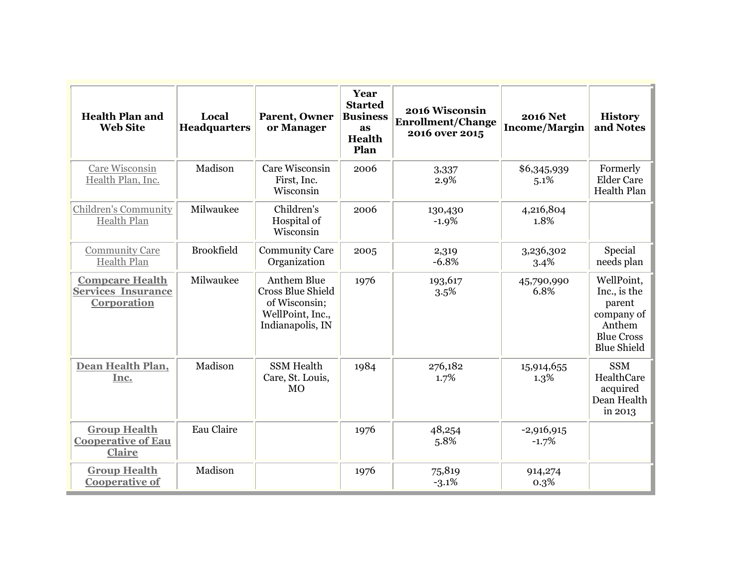| <b>Health Plan and</b><br><b>Web Site</b>                          | Local<br><b>Headquarters</b> | Parent, Owner<br>or Manager                                                                             | Year<br><b>Started</b><br><b>Business</b><br>as<br>Health<br>Plan | 2016 Wisconsin<br><b>Enrollment/Change</b><br>2016 over 2015 | <b>2016 Net</b><br><b>Income/Margin</b> | <b>History</b><br>and Notes                                                                             |
|--------------------------------------------------------------------|------------------------------|---------------------------------------------------------------------------------------------------------|-------------------------------------------------------------------|--------------------------------------------------------------|-----------------------------------------|---------------------------------------------------------------------------------------------------------|
| Care Wisconsin<br>Health Plan, Inc.                                | Madison                      | Care Wisconsin<br>First, Inc.<br>Wisconsin                                                              | 2006                                                              | 3,337<br>2.9%                                                | \$6,345,939<br>5.1%                     | Formerly<br><b>Elder Care</b><br>Health Plan                                                            |
| <b>Children's Community</b><br>Health Plan                         | Milwaukee                    | Children's<br>Hospital of<br>Wisconsin                                                                  | 2006                                                              | 130,430<br>$-1.9%$                                           | 4,216,804<br>1.8%                       |                                                                                                         |
| <b>Community Care</b><br>Health Plan                               | <b>Brookfield</b>            | <b>Community Care</b><br>Organization                                                                   | 2005                                                              | 2,319<br>$-6.8%$                                             | 3,236,302<br>3.4%                       | Special<br>needs plan                                                                                   |
| <b>Compcare Health</b><br><b>Services Insurance</b><br>Corporation | Milwaukee                    | <b>Anthem Blue</b><br><b>Cross Blue Shield</b><br>of Wisconsin;<br>WellPoint, Inc.,<br>Indianapolis, IN | 1976                                                              | 193,617<br>3.5%                                              | 45,790,990<br>6.8%                      | WellPoint,<br>Inc., is the<br>parent<br>company of<br>Anthem<br><b>Blue Cross</b><br><b>Blue Shield</b> |
| Dean Health Plan,<br>Inc.                                          | Madison                      | <b>SSM Health</b><br>Care, St. Louis,<br>MO                                                             | 1984                                                              | 276,182<br>1.7%                                              | 15,914,655<br>1.3%                      | <b>SSM</b><br>HealthCare<br>acquired<br>Dean Health<br>in 2013                                          |
| <b>Group Health</b><br><b>Cooperative of Eau</b><br><b>Claire</b>  | Eau Claire                   |                                                                                                         | 1976                                                              | 48,254<br>5.8%                                               | $-2,916,915$<br>$-1.7%$                 |                                                                                                         |
| <b>Group Health</b><br><b>Cooperative of</b>                       | Madison                      |                                                                                                         | 1976                                                              | 75,819<br>$-3.1%$                                            | 914,274<br>0.3%                         |                                                                                                         |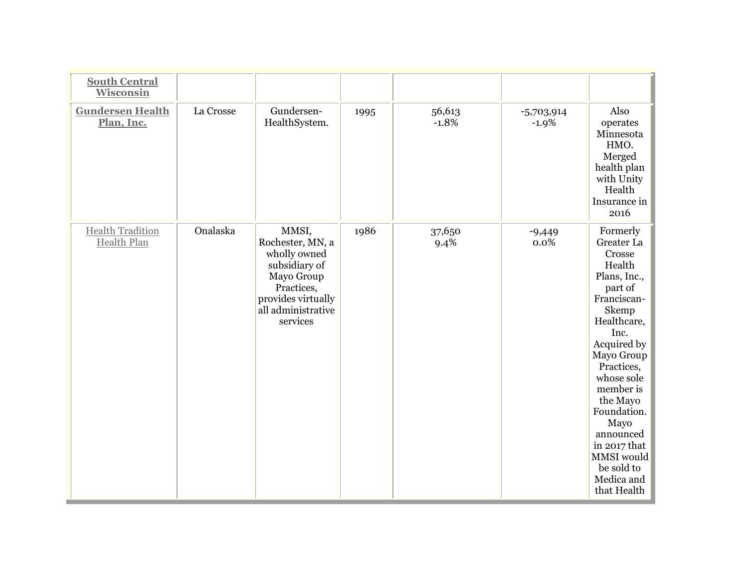| <b>South Central</b><br><b>Wisconsin</b>      |           |                                                                                                                                                |      |                   |                         |                                                                                                                                                                                                                                                                                                                     |
|-----------------------------------------------|-----------|------------------------------------------------------------------------------------------------------------------------------------------------|------|-------------------|-------------------------|---------------------------------------------------------------------------------------------------------------------------------------------------------------------------------------------------------------------------------------------------------------------------------------------------------------------|
| <b>Gundersen Health</b><br>Plan, Inc.         | La Crosse | Gundersen-<br>HealthSystem.                                                                                                                    | 1995 | 56,613<br>$-1.8%$ | $-5,703,914$<br>$-1.9%$ | Also<br>operates<br>Minnesota<br>HMO.<br>Merged<br>health plan<br>with Unity<br>Health<br>Insurance in<br>2016                                                                                                                                                                                                      |
| <b>Health Tradition</b><br><b>Health Plan</b> | Onalaska  | MMSI,<br>Rochester, MN, a<br>wholly owned<br>subsidiary of<br>Mayo Group<br>Practices,<br>provides virtually<br>all administrative<br>services | 1986 | 37,650<br>9.4%    | $-9,449$<br>0.0%        | Formerly<br>Greater La<br>Crosse<br>Health<br>Plans, Inc.,<br>part of<br>Franciscan-<br>Skemp<br>Healthcare,<br>Inc.<br>Acquired by<br>Mayo Group<br>Practices,<br>whose sole<br>member is<br>the Mayo<br>Foundation.<br>Mayo<br>announced<br>in 2017 that<br>MMSI would<br>be sold to<br>Medica and<br>that Health |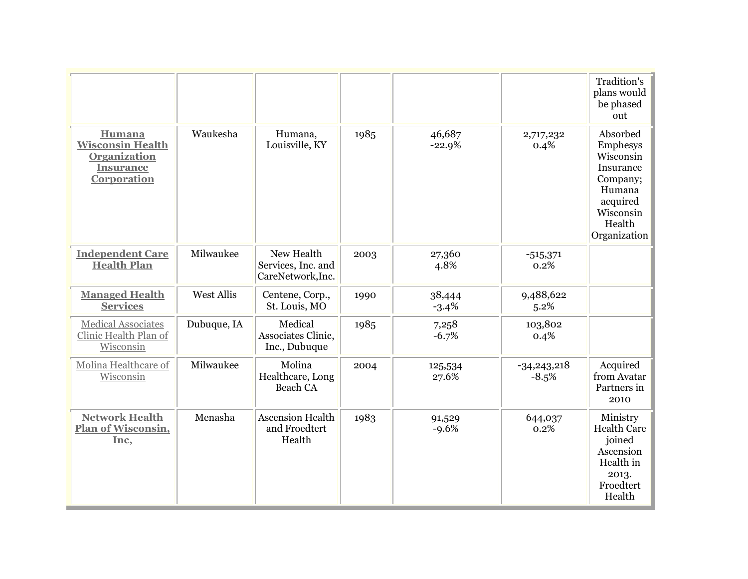|                                                                                                    |                   |                                                       |      |                    |                          | Tradition's<br>plans would<br>be phased<br>out                                                                          |
|----------------------------------------------------------------------------------------------------|-------------------|-------------------------------------------------------|------|--------------------|--------------------------|-------------------------------------------------------------------------------------------------------------------------|
| Humana<br><b>Wisconsin Health</b><br><b>Organization</b><br><b>Insurance</b><br><b>Corporation</b> | Waukesha          | Humana,<br>Louisville, KY                             | 1985 | 46,687<br>$-22.9%$ | 2,717,232<br>0.4%        | Absorbed<br>Emphesys<br>Wisconsin<br>Insurance<br>Company;<br>Humana<br>acquired<br>Wisconsin<br>Health<br>Organization |
| <b>Independent Care</b><br><b>Health Plan</b>                                                      | Milwaukee         | New Health<br>Services, Inc. and<br>CareNetwork, Inc. | 2003 | 27,360<br>4.8%     | $-515,371$<br>0.2%       |                                                                                                                         |
| <b>Managed Health</b><br><b>Services</b>                                                           | <b>West Allis</b> | Centene, Corp.,<br>St. Louis, MO                      | 1990 | 38,444<br>$-3.4%$  | 9,488,622<br>5.2%        |                                                                                                                         |
| <b>Medical Associates</b><br>Clinic Health Plan of<br>Wisconsin                                    | Dubuque, IA       | Medical<br>Associates Clinic,<br>Inc., Dubuque        | 1985 | 7,258<br>$-6.7%$   | 103,802<br>0.4%          |                                                                                                                         |
| Molina Healthcare of<br>Wisconsin                                                                  | Milwaukee         | Molina<br>Healthcare, Long<br>Beach CA                | 2004 | 125,534<br>27.6%   | $-34,243,218$<br>$-8.5%$ | Acquired<br>from Avatar<br>Partners in<br>2010                                                                          |
| <b>Network Health</b><br>Plan of Wisconsin,<br>Inc,                                                | Menasha           | <b>Ascension Health</b><br>and Froedtert<br>Health    | 1983 | 91,529<br>$-9.6%$  | 644,037<br>0.2%          | Ministry<br><b>Health Care</b><br>joined<br>Ascension<br>Health in<br>2013.<br>Froedtert<br>Health                      |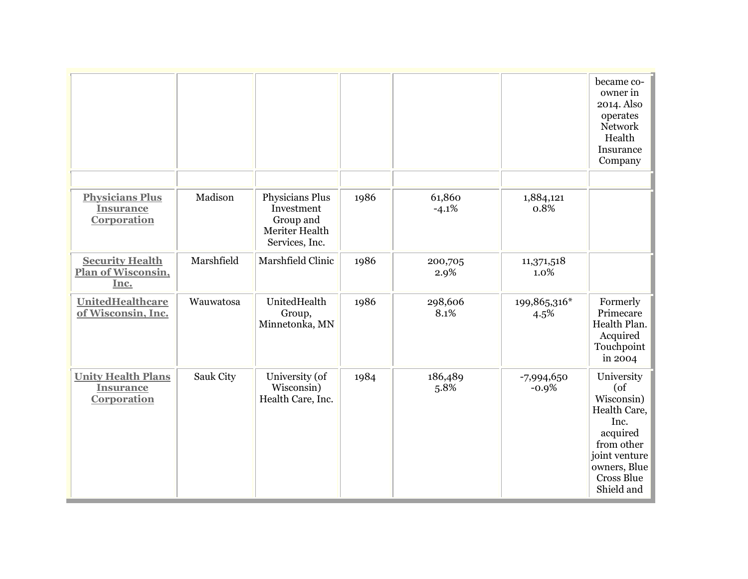|                                                              |            |                                                                                |      |                   |                         | became co-<br>owner in<br>2014. Also<br>operates<br>Network<br>Health<br>Insurance<br>Company                                                            |
|--------------------------------------------------------------|------------|--------------------------------------------------------------------------------|------|-------------------|-------------------------|----------------------------------------------------------------------------------------------------------------------------------------------------------|
|                                                              |            |                                                                                |      |                   |                         |                                                                                                                                                          |
| <b>Physicians Plus</b><br><b>Insurance</b><br>Corporation    | Madison    | Physicians Plus<br>Investment<br>Group and<br>Meriter Health<br>Services, Inc. | 1986 | 61,860<br>$-4.1%$ | 1,884,121<br>0.8%       |                                                                                                                                                          |
| <b>Security Health</b><br><b>Plan of Wisconsin,</b><br>Inc.  | Marshfield | Marshfield Clinic                                                              | 1986 | 200,705<br>2.9%   | 11,371,518<br>1.0%      |                                                                                                                                                          |
| <b>UnitedHealthcare</b><br>of Wisconsin, Inc.                | Wauwatosa  | UnitedHealth<br>Group,<br>Minnetonka, MN                                       | 1986 | 298,606<br>8.1%   | 199,865,316*<br>4.5%    | Formerly<br>Primecare<br>Health Plan.<br>Acquired<br>Touchpoint<br>in 2004                                                                               |
| <b>Unity Health Plans</b><br><b>Insurance</b><br>Corporation | Sauk City  | University (of<br>Wisconsin)<br>Health Care, Inc.                              | 1984 | 186,489<br>5.8%   | $-7,994,650$<br>$-0.9%$ | University<br>$($ of<br>Wisconsin)<br>Health Care,<br>Inc.<br>acquired<br>from other<br>joint venture<br>owners, Blue<br><b>Cross Blue</b><br>Shield and |